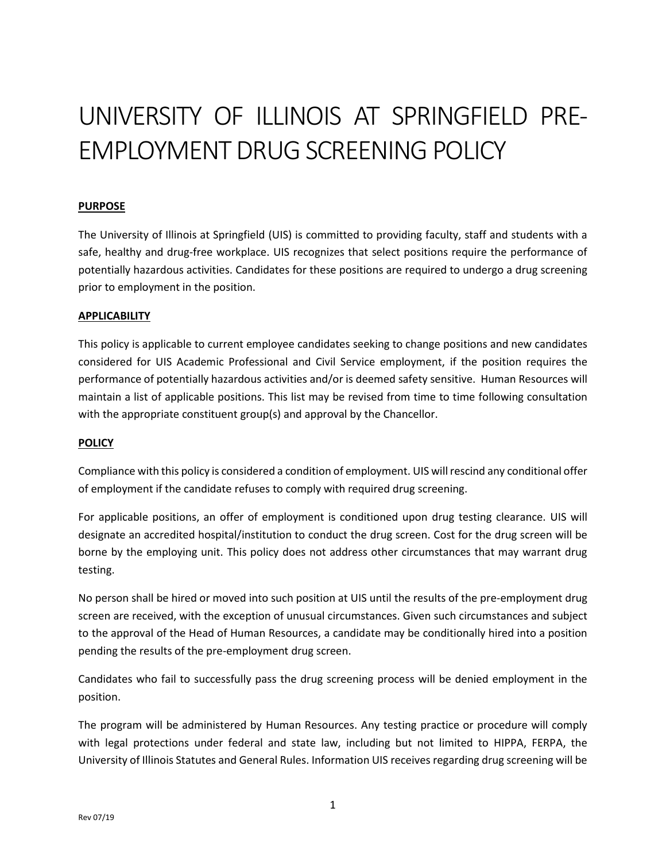# UNIVERSITY OF ILLINOIS AT SPRINGFIELD PRE-EMPLOYMENT DRUG SCREENING POLICY

## **PURPOSE**

The University of Illinois at Springfield (UIS) is committed to providing faculty, staff and students with a safe, healthy and drug-free workplace. UIS recognizes that select positions require the performance of potentially hazardous activities. Candidates for these positions are required to undergo a drug screening prior to employment in the position.

#### **APPLICABILITY**

This policy is applicable to current employee candidates seeking to change positions and new candidates considered for UIS Academic Professional and Civil Service employment, if the position requires the performance of potentially hazardous activities and/or is deemed safety sensitive. Human Resources will maintain a list of applicable positions. This list may be revised from time to time following consultation with the appropriate constituent group(s) and approval by the Chancellor.

#### **POLICY**

Compliance with this policy is considered a condition of employment. UIS will rescind any conditional offer of employment if the candidate refuses to comply with required drug screening.

For applicable positions, an offer of employment is conditioned upon drug testing clearance. UIS will designate an accredited hospital/institution to conduct the drug screen. Cost for the drug screen will be borne by the employing unit. This policy does not address other circumstances that may warrant drug testing.

No person shall be hired or moved into such position at UIS until the results of the pre-employment drug screen are received, with the exception of unusual circumstances. Given such circumstances and subject to the approval of the Head of Human Resources, a candidate may be conditionally hired into a position pending the results of the pre-employment drug screen.

Candidates who fail to successfully pass the drug screening process will be denied employment in the position.

The program will be administered by Human Resources. Any testing practice or procedure will comply with legal protections under federal and state law, including but not limited to HIPPA, FERPA, the University of Illinois Statutes and General Rules. Information UIS receives regarding drug screening will be